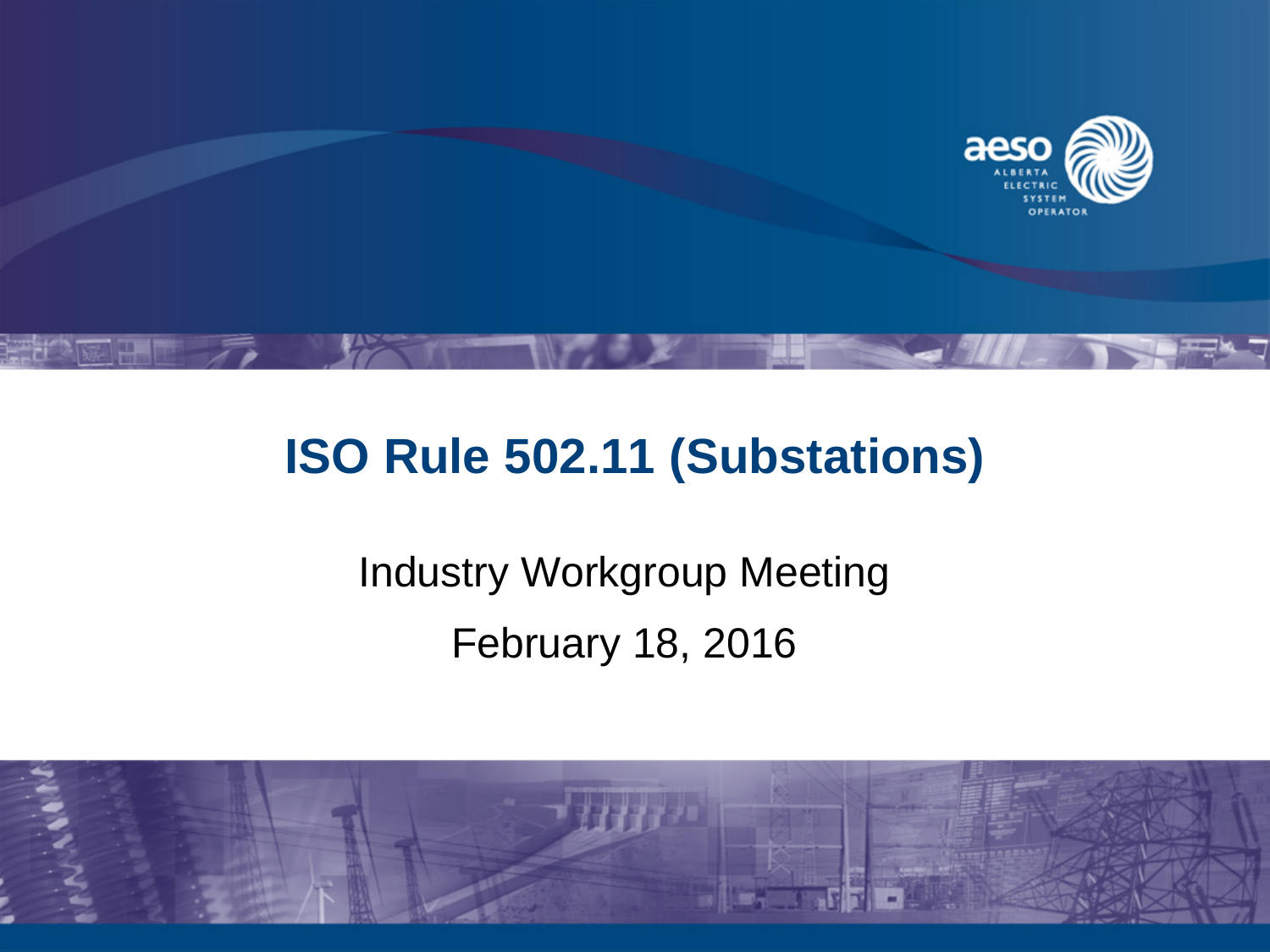

## **ISO Rule 502.11 (Substations)**

# Industry Workgroup Meeting February 18, 2016

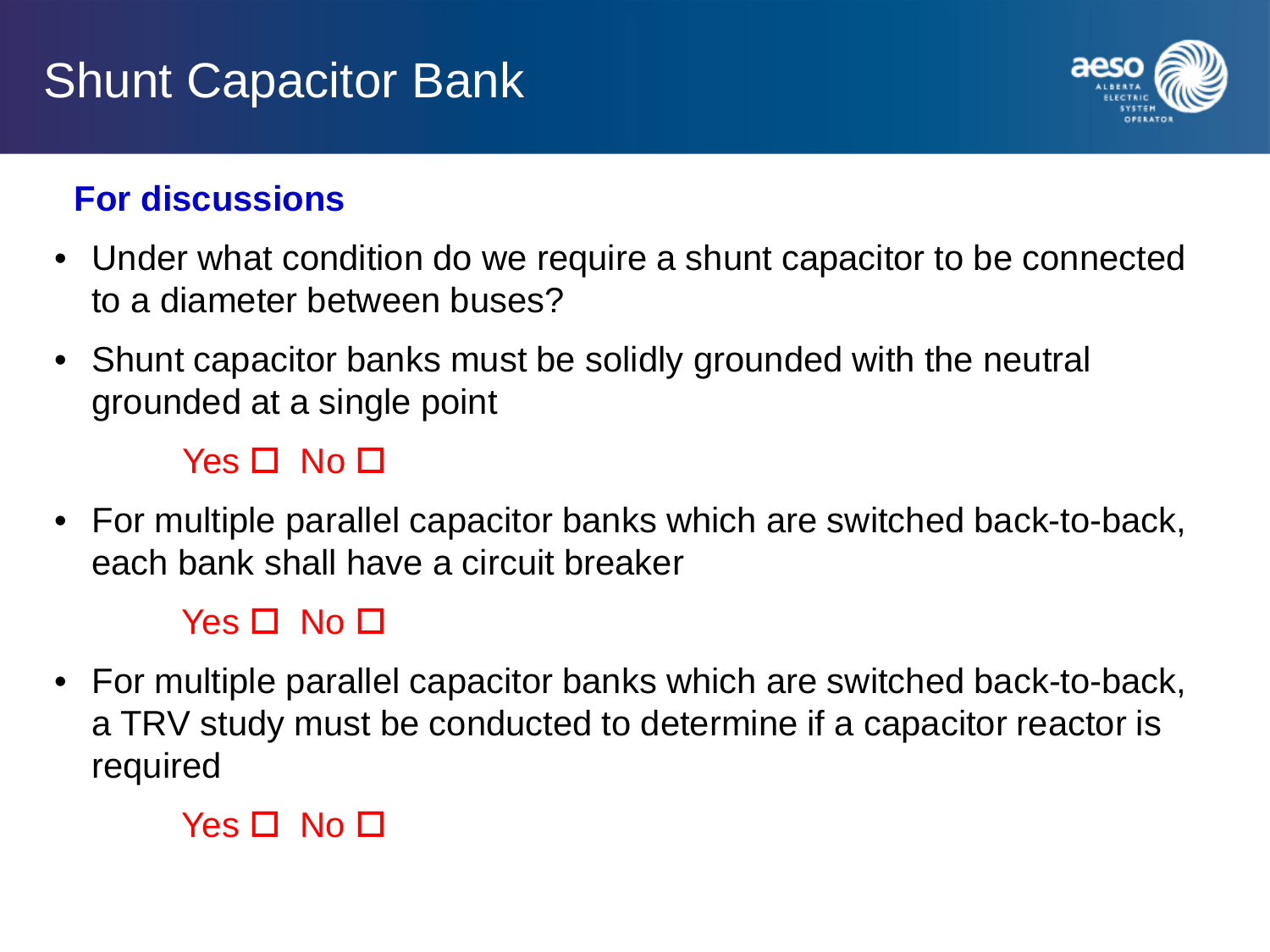# Shunt Capacitor Bank



## **For discussions**

- Under what condition do we require a shunt capacitor to be connected to a diameter between buses?
- Shunt capacitor banks must be solidly grounded with the neutral grounded at a single point

## $Yes \Box No \Box$

• For multiple parallel capacitor banks which are switched back-to-back, each bank shall have a circuit breaker

## $Yes \Box No \Box$

• For multiple parallel capacitor banks which are switched back-to-back, a TRV study must be conducted to determine if a capacitor reactor is required

### $Yes \Box No \Box$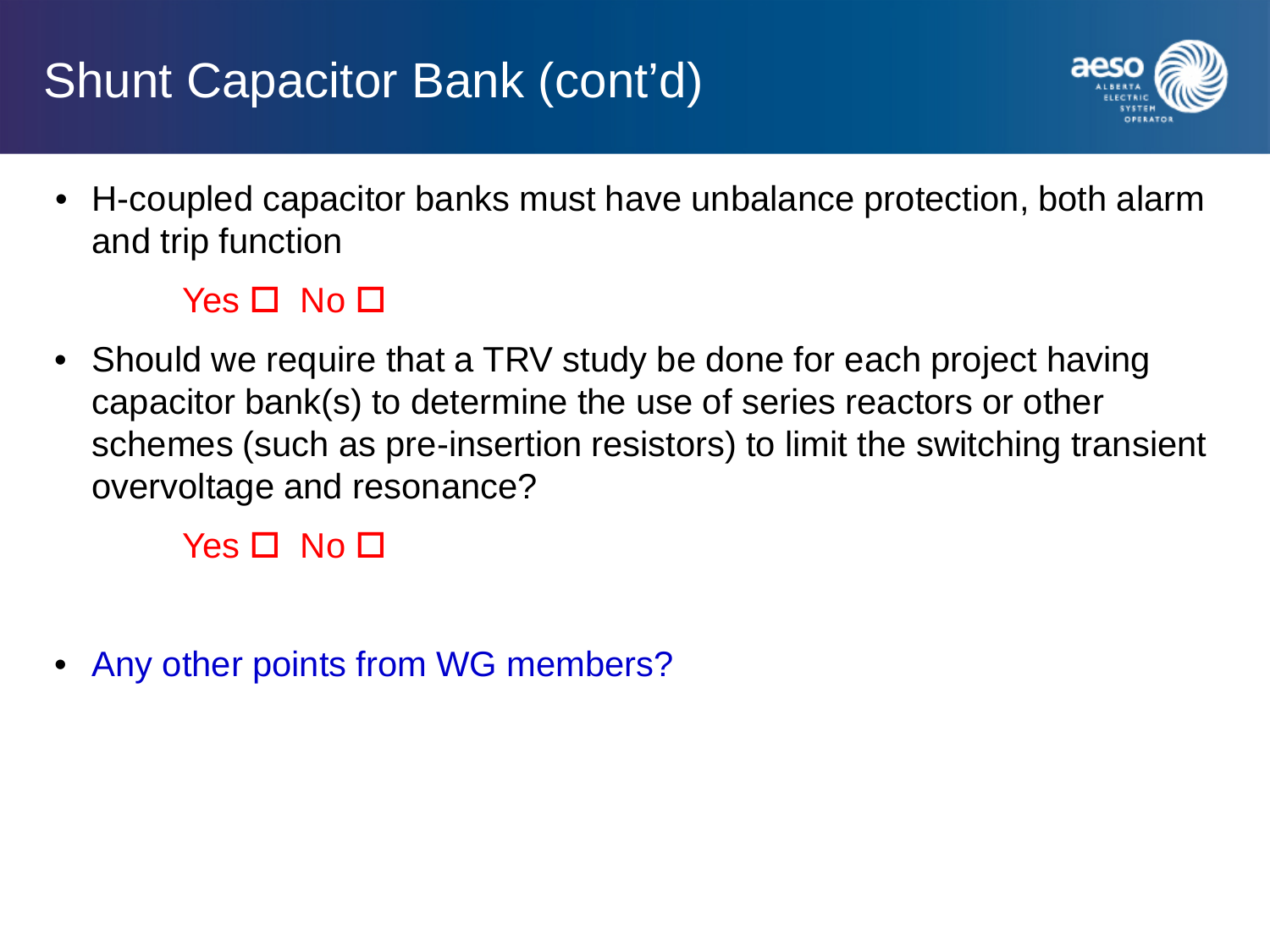# Shunt Capacitor Bank (cont'd)



• H-coupled capacitor banks must have unbalance protection, both alarm and trip function

#### $Yes \Box No \Box$

• Should we require that a TRV study be done for each project having capacitor bank(s) to determine the use of series reactors or other schemes (such as pre-insertion resistors) to limit the switching transient overvoltage and resonance?

 $Yes \Box No \Box$ 

Any other points from WG members?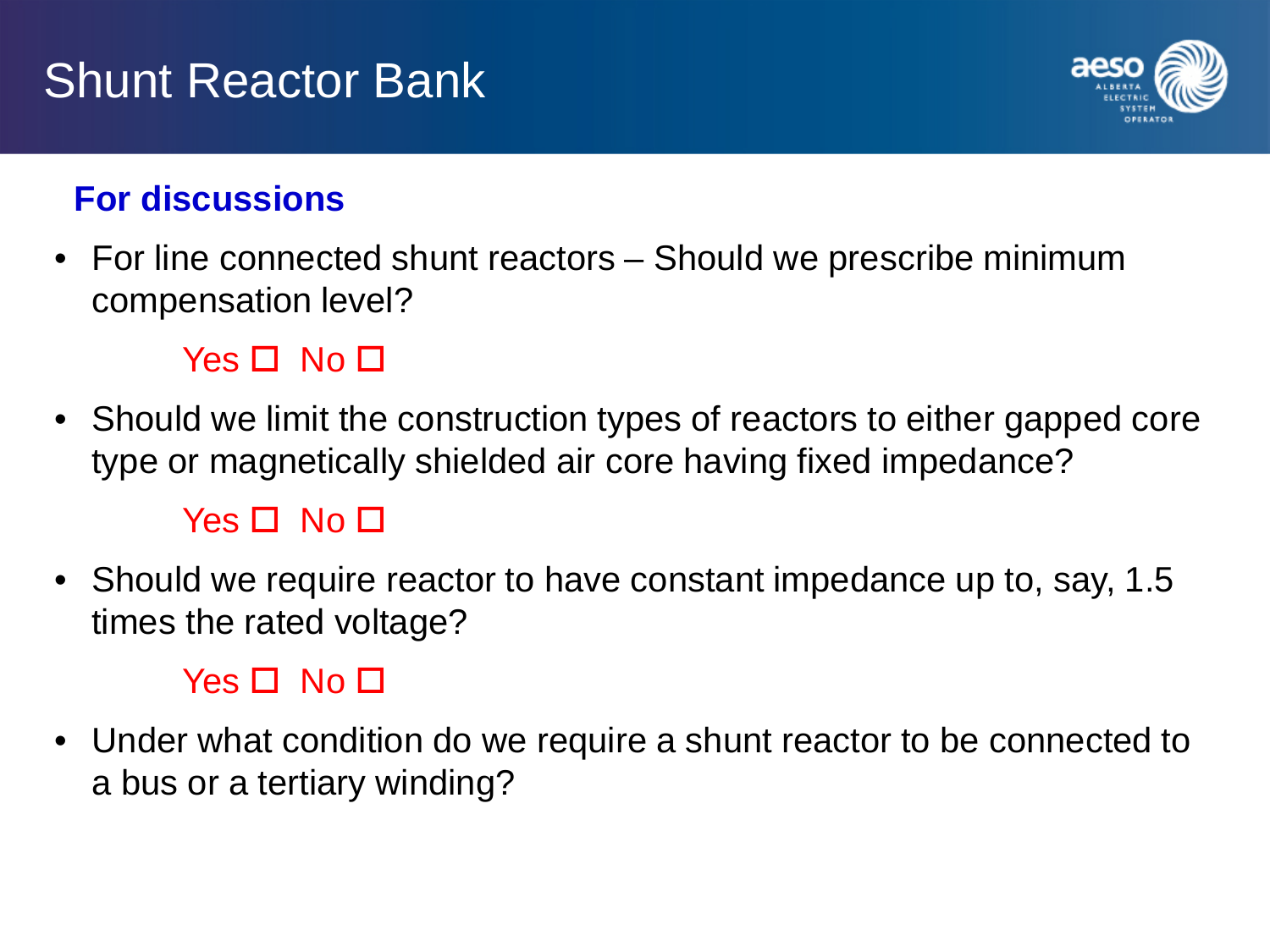# Shunt Reactor Bank



### **For discussions**

• For line connected shunt reactors – Should we prescribe minimum compensation level?

#### Yes  $\Pi$  No  $\Pi$

• Should we limit the construction types of reactors to either gapped core type or magnetically shielded air core having fixed impedance?

#### $Yes \Box No \Box$

• Should we require reactor to have constant impedance up to, say, 1.5 times the rated voltage?

#### $Yes \Box No \Box$

• Under what condition do we require a shunt reactor to be connected to a bus or a tertiary winding?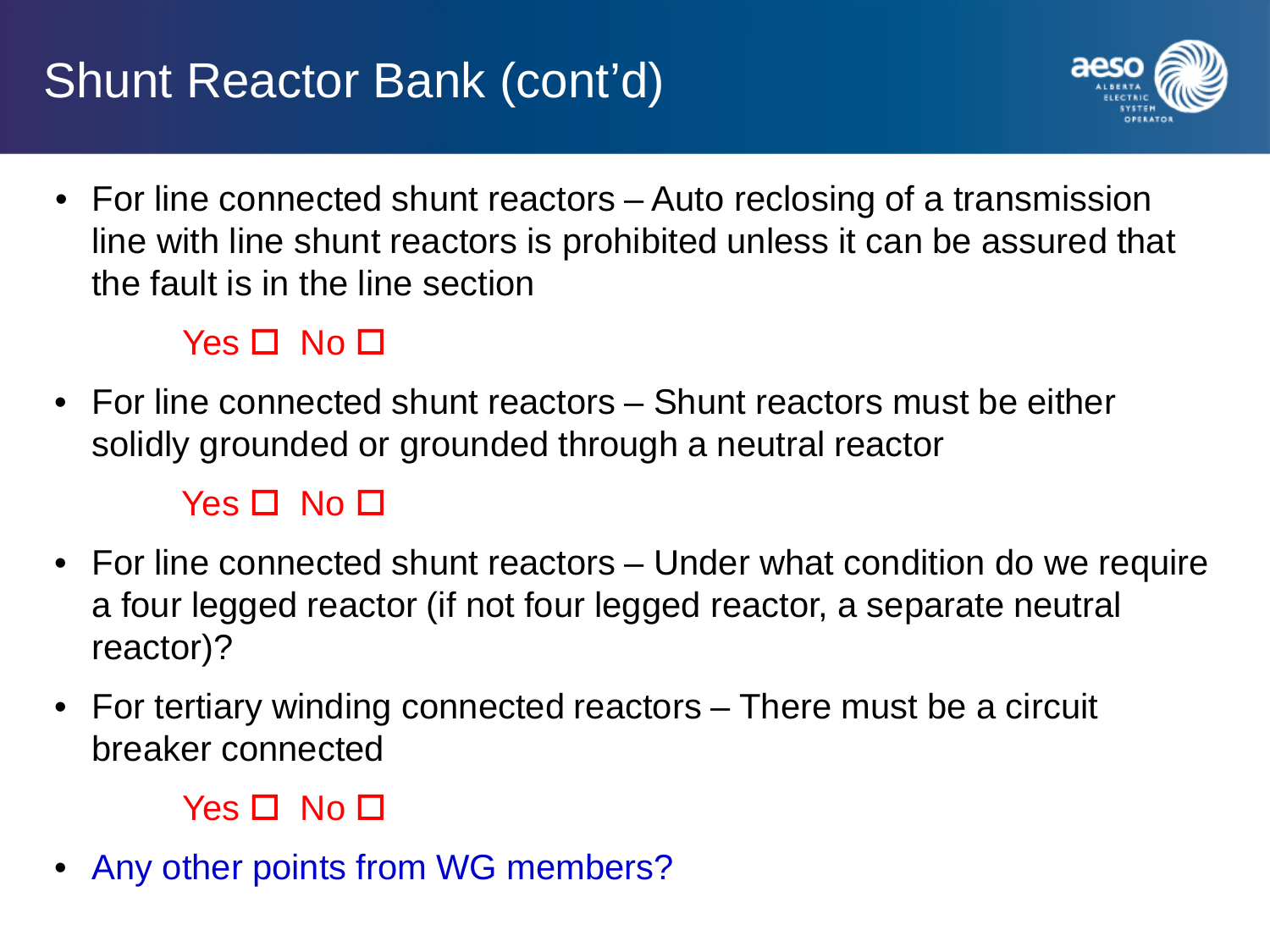# Shunt Reactor Bank (cont'd)



• For line connected shunt reactors – Auto reclosing of a transmission line with line shunt reactors is prohibited unless it can be assured that the fault is in the line section

### $Yes \Box No \Box$

• For line connected shunt reactors – Shunt reactors must be either solidly grounded or grounded through a neutral reactor

#### Yes  $\Box$  No  $\Box$

- For line connected shunt reactors Under what condition do we require a four legged reactor (if not four legged reactor, a separate neutral reactor)?
- For tertiary winding connected reactors There must be a circuit breaker connected

#### $Yes \Box No \Box$

Any other points from WG members?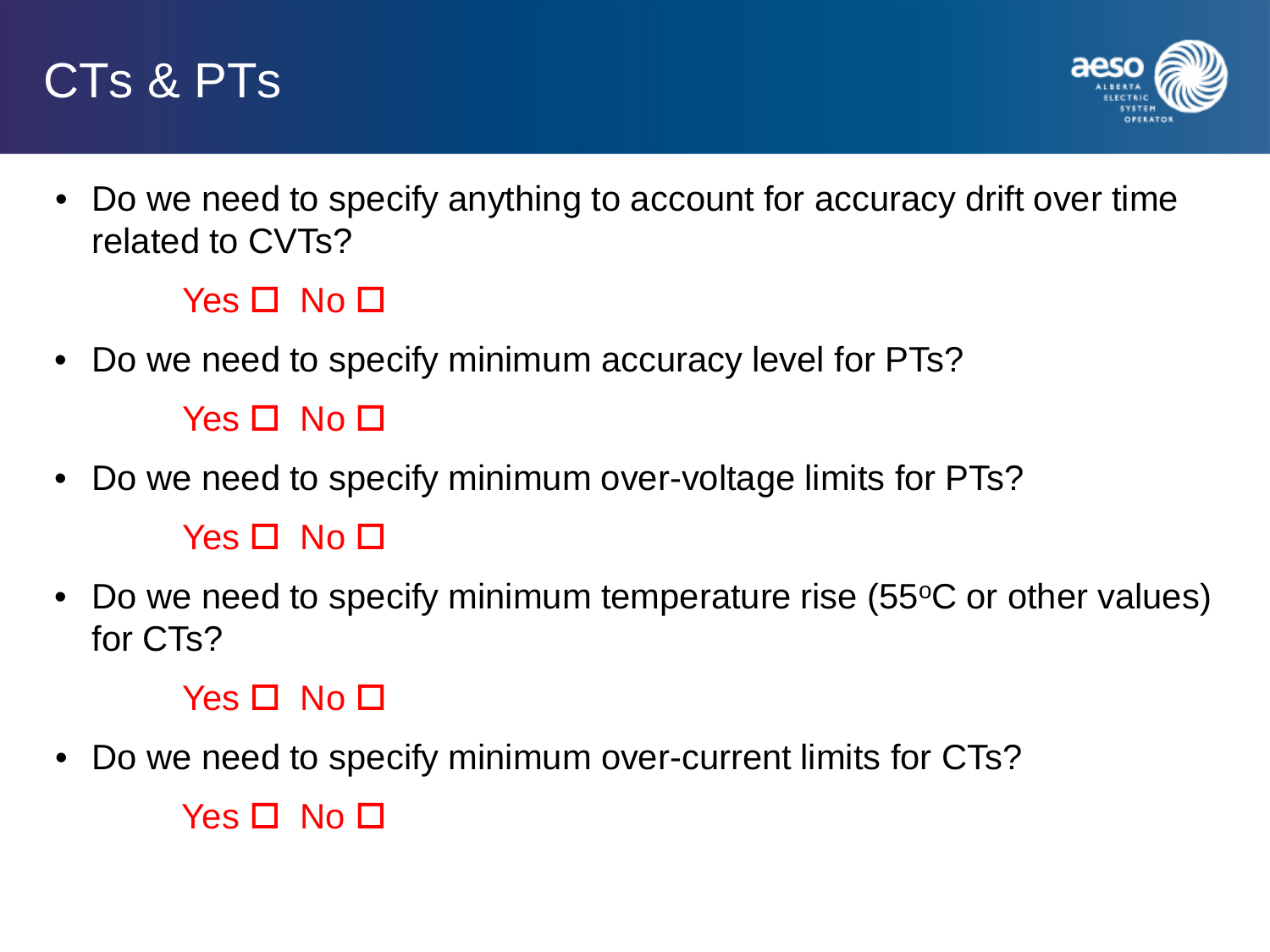



• Do we need to specify anything to account for accuracy drift over time related to CVTs?

 $Yes \Box No \Box$ 

• Do we need to specify minimum accuracy level for PTs?

 $Yes \Box No \Box$ 

- Do we need to specify minimum over-voltage limits for PTs?  $Yes \Box No \Box$
- Do we need to specify minimum temperature rise (55°C or other values) for CTs?

#### $Yes \Box No \Box$

• Do we need to specify minimum over-current limits for CTs?

 $Yes \Box No \Box$